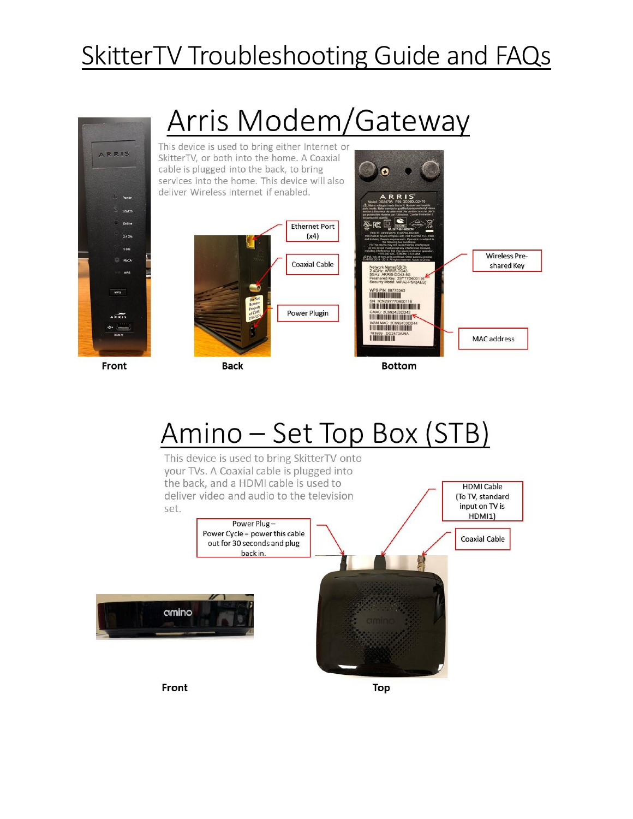# SkitterTV Troubleshooting Guide and FAQs



# Amino – Set Top Box (STB)

This device is used to bring SkitterTV onto your TVs. A Coaxial cable is plugged into the back, and a HDMI cable is used to **HDMI Cable** deliver video and audio to the television (To TV, standard input on TV is set. HDMI1) Power Plug-Power Cycle = power this cable **Coaxial Cable** out for 30 seconds and plug back in. amino Front **Top**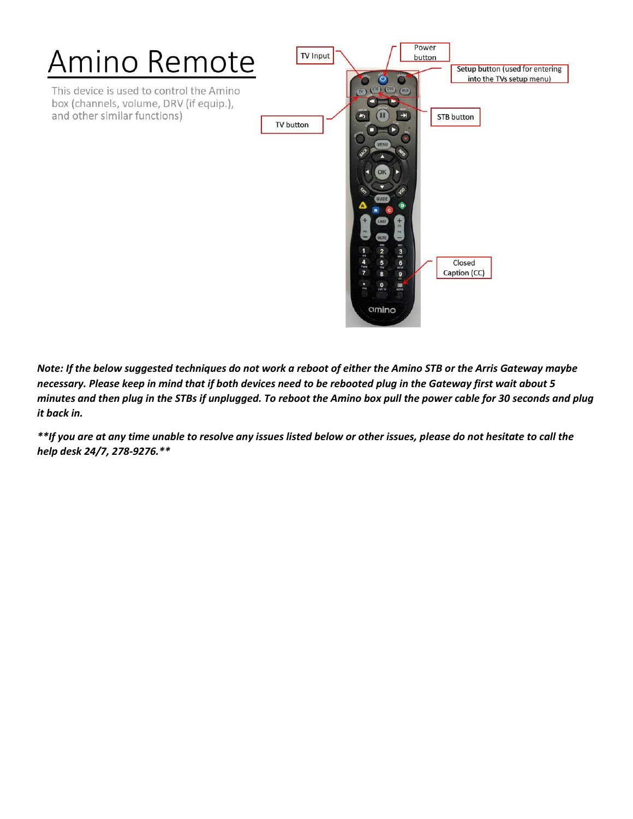

*Note: If the below suggested techniques do not work a reboot of either the Amino STB or the Arris Gateway maybe necessary. Please keep in mind that if both devices need to be rebooted plug in the Gateway first wait about 5 minutes and then plug in the STBs if unplugged. To reboot the Amino box pull the power cable for 30 seconds and plug it back in.* 

*\*\*If you are at any time unable to resolve any issues listed below or other issues, please do not hesitate to call the help desk 24/7, 278-9276.\*\**